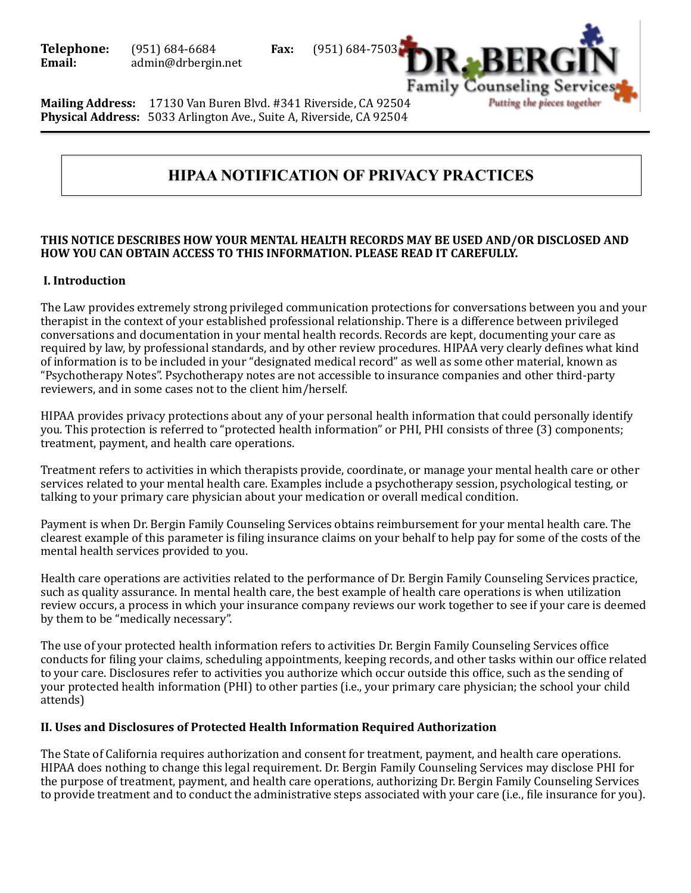

**Mailing Address:** 17130 Van Buren Blvd. #341 Riverside, CA 92504 **Physical Address:** 5033 Arlington Ave., Suite A, Riverside, CA 92504

# **HIPAA NOTIFICATION OF PRIVACY PRACTICES**

#### THIS NOTICE DESCRIBES HOW YOUR MENTAL HEALTH RECORDS MAY BE USED AND/OR DISCLOSED AND **HOW YOU CAN OBTAIN ACCESS TO THIS INFORMATION. PLEASE READ IT CAREFULLY.**

#### **I. Introduction**

The Law provides extremely strong privileged communication protections for conversations between you and your therapist in the context of your established professional relationship. There is a difference between privileged conversations and documentation in your mental health records. Records are kept, documenting your care as required by law, by professional standards, and by other review procedures. HIPAA very clearly defines what kind of information is to be included in your "designated medical record" as well as some other material, known as "Psychotherapy Notes". Psychotherapy notes are not accessible to insurance companies and other third-party reviewers, and in some cases not to the client him/herself.

HIPAA provides privacy protections about any of your personal health information that could personally identify you. This protection is referred to "protected health information" or PHI, PHI consists of three (3) components; treatment, payment, and health care operations.

Treatment refers to activities in which therapists provide, coordinate, or manage your mental health care or other services related to your mental health care. Examples include a psychotherapy session, psychological testing, or talking to your primary care physician about your medication or overall medical condition.

Payment is when Dr. Bergin Family Counseling Services obtains reimbursement for your mental health care. The clearest example of this parameter is filing insurance claims on your behalf to help pay for some of the costs of the mental health services provided to you.

Health care operations are activities related to the performance of Dr. Bergin Family Counseling Services practice, such as quality assurance. In mental health care, the best example of health care operations is when utilization review occurs, a process in which your insurance company reviews our work together to see if your care is deemed by them to be "medically necessary".

The use of your protected health information refers to activities Dr. Bergin Family Counseling Services office conducts for filing your claims, scheduling appointments, keeping records, and other tasks within our office related to your care. Disclosures refer to activities you authorize which occur outside this office, such as the sending of your protected health information (PHI) to other parties (i.e., your primary care physician; the school your child attends) 

#### **II. Uses and Disclosures of Protected Health Information Required Authorization**

The State of California requires authorization and consent for treatment, payment, and health care operations. HIPAA does nothing to change this legal requirement. Dr. Bergin Family Counseling Services may disclose PHI for the purpose of treatment, payment, and health care operations, authorizing Dr. Bergin Family Counseling Services to provide treatment and to conduct the administrative steps associated with your care (i.e., file insurance for you).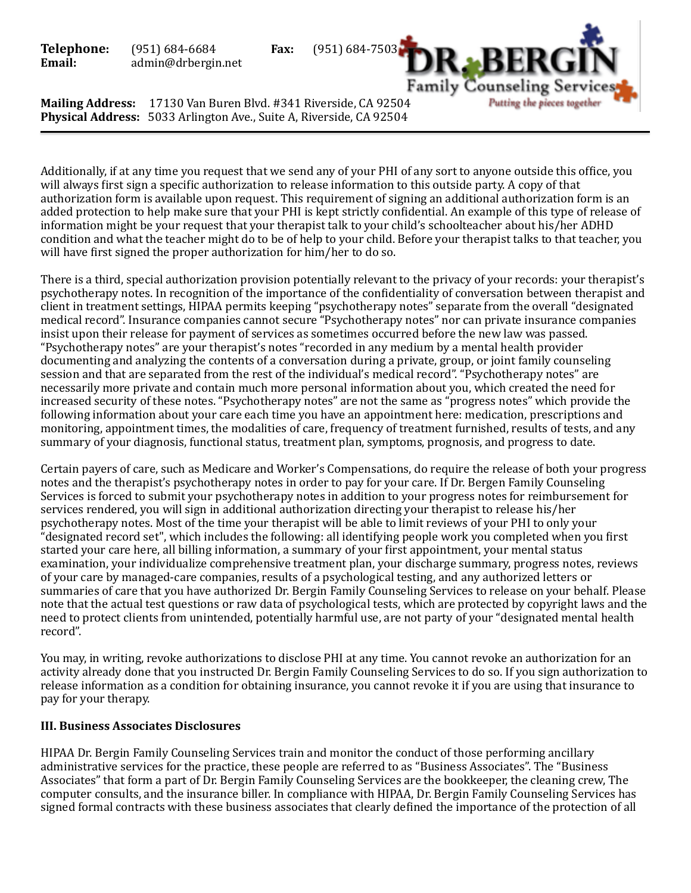

**Mailing Address:** 17130 Van Buren Blvd. #341 Riverside, CA 92504 **Physical Address:** 5033 Arlington Ave., Suite A, Riverside, CA 92504

Additionally, if at any time you request that we send any of your PHI of any sort to anyone outside this office, you will always first sign a specific authorization to release information to this outside party. A copy of that authorization form is available upon request. This requirement of signing an additional authorization form is an added protection to help make sure that your PHI is kept strictly confidential. An example of this type of release of information might be your request that your therapist talk to your child's schoolteacher about his/her ADHD condition and what the teacher might do to be of help to your child. Before your therapist talks to that teacher, you will have first signed the proper authorization for him/her to do so.

There is a third, special authorization provision potentially relevant to the privacy of your records: your therapist's psychotherapy notes. In recognition of the importance of the confidentiality of conversation between therapist and client in treatment settings, HIPAA permits keeping "psychotherapy notes" separate from the overall "designated medical record". Insurance companies cannot secure "Psychotherapy notes" nor can private insurance companies insist upon their release for payment of services as sometimes occurred before the new law was passed. "Psychotherapy notes" are your therapist's notes "recorded in any medium by a mental health provider documenting and analyzing the contents of a conversation during a private, group, or joint family counseling session and that are separated from the rest of the individual's medical record". "Psychotherapy notes" are necessarily more private and contain much more personal information about you, which created the need for increased security of these notes. "Psychotherapy notes" are not the same as "progress notes" which provide the following information about your care each time you have an appointment here: medication, prescriptions and monitoring, appointment times, the modalities of care, frequency of treatment furnished, results of tests, and any summary of your diagnosis, functional status, treatment plan, symptoms, prognosis, and progress to date.

Certain payers of care, such as Medicare and Worker's Compensations, do require the release of both your progress notes and the therapist's psychotherapy notes in order to pay for your care. If Dr. Bergen Family Counseling Services is forced to submit your psychotherapy notes in addition to your progress notes for reimbursement for services rendered, you will sign in additional authorization directing your therapist to release his/her psychotherapy notes. Most of the time your therapist will be able to limit reviews of your PHI to only your "designated record set", which includes the following: all identifying people work you completed when you first started your care here, all billing information, a summary of your first appointment, your mental status examination, your individualize comprehensive treatment plan, your discharge summary, progress notes, reviews of your care by managed-care companies, results of a psychological testing, and any authorized letters or summaries of care that you have authorized Dr. Bergin Family Counseling Services to release on your behalf. Please note that the actual test questions or raw data of psychological tests, which are protected by copyright laws and the need to protect clients from unintended, potentially harmful use, are not party of your "designated mental health record".

You may, in writing, revoke authorizations to disclose PHI at any time. You cannot revoke an authorization for an activity already done that you instructed Dr. Bergin Family Counseling Services to do so. If you sign authorization to release information as a condition for obtaining insurance, you cannot revoke it if you are using that insurance to pay for your therapy.

## **III. Business Associates Disclosures**

HIPAA Dr. Bergin Family Counseling Services train and monitor the conduct of those performing ancillary administrative services for the practice, these people are referred to as "Business Associates". The "Business Associates" that form a part of Dr. Bergin Family Counseling Services are the bookkeeper, the cleaning crew, The computer consults, and the insurance biller. In compliance with HIPAA, Dr. Bergin Family Counseling Services has signed formal contracts with these business associates that clearly defined the importance of the protection of all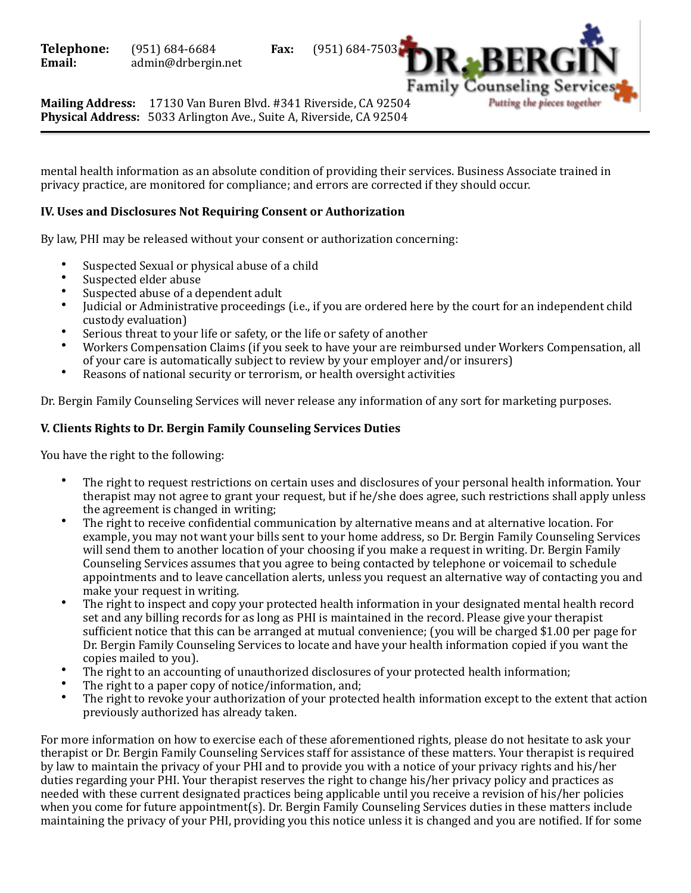Family Counseling Serv Putting the pieces together

**Mailing Address:** 17130 Van Buren Blvd. #341 Riverside, CA 92504 **Physical Address:** 5033 Arlington Ave., Suite A, Riverside, CA 92504

mental health information as an absolute condition of providing their services. Business Associate trained in privacy practice, are monitored for compliance; and errors are corrected if they should occur.

#### **IV. Uses and Disclosures Not Requiring Consent or Authorization**

By law, PHI may be released without your consent or authorization concerning:

- Suspected Sexual or physical abuse of a child<br>• Suspected alder abuse
- Suspected elder abuse
- Suspected abuse of a dependent adult
- Iudicial or Administrative proceedings (i.e., if you are ordered here by the court for an independent child custody evaluation)
- Serious threat to your life or safety, or the life or safety of another
- Workers Compensation Claims (if you seek to have your are reimbursed under Workers Compensation, all of your care is automatically subject to review by your employer and/or insurers)
- Reasons of national security or terrorism, or health oversight activities

Dr. Bergin Family Counseling Services will never release any information of any sort for marketing purposes.

## **V. Clients Rights to Dr. Bergin Family Counseling Services Duties**

You have the right to the following:

- The right to request restrictions on certain uses and disclosures of your personal health information. Your therapist may not agree to grant your request, but if he/she does agree, such restrictions shall apply unless the agreement is changed in writing;
- The right to receive confidential communication by alternative means and at alternative location. For example, you may not want your bills sent to your home address, so Dr. Bergin Family Counseling Services will send them to another location of your choosing if you make a request in writing. Dr. Bergin Family Counseling Services assumes that you agree to being contacted by telephone or voicemail to schedule appointments and to leave cancellation alerts, unless you request an alternative way of contacting you and make your request in writing.
- The right to inspect and copy your protected health information in vour designated mental health record set and any billing records for as long as PHI is maintained in the record. Please give your therapist sufficient notice that this can be arranged at mutual convenience; (you will be charged \$1.00 per page for Dr. Bergin Family Counseling Services to locate and have your health information copied if you want the copies mailed to you).
- The right to an accounting of unauthorized disclosures of your protected health information;
- The right to a paper copy of notice/information, and;
- The right to revoke your authorization of your protected health information except to the extent that action previously authorized has already taken.

For more information on how to exercise each of these aforementioned rights, please do not hesitate to ask your therapist or Dr. Bergin Family Counseling Services staff for assistance of these matters. Your therapist is required by law to maintain the privacy of your PHI and to provide you with a notice of your privacy rights and his/her duties regarding your PHI. Your therapist reserves the right to change his/her privacy policy and practices as needed with these current designated practices being applicable until you receive a revision of his/her policies when you come for future appointment(s). Dr. Bergin Family Counseling Services duties in these matters include maintaining the privacy of your PHI, providing you this notice unless it is changed and you are notified. If for some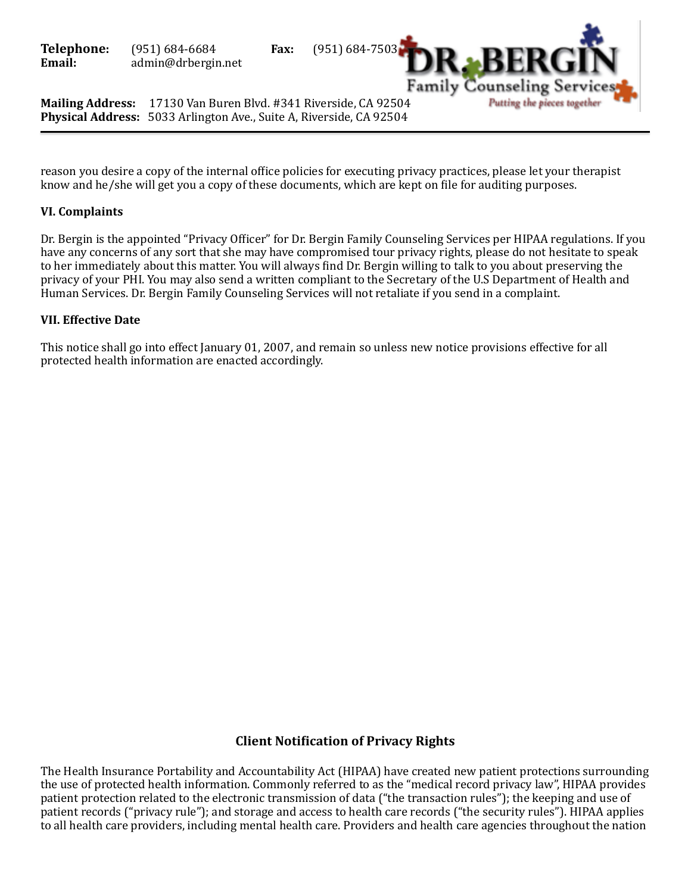Family Counseling Serv Putting the pieces together

**Mailing Address:** 17130 Van Buren Blvd. #341 Riverside, CA 92504 **Physical Address:** 5033 Arlington Ave., Suite A, Riverside, CA 92504

reason you desire a copy of the internal office policies for executing privacy practices, please let your therapist know and he/she will get you a copy of these documents, which are kept on file for auditing purposes.

#### **VI.** Complaints

Dr. Bergin is the appointed "Privacy Officer" for Dr. Bergin Family Counseling Services per HIPAA regulations. If you have any concerns of any sort that she may have compromised tour privacy rights, please do not hesitate to speak to her immediately about this matter. You will always find Dr. Bergin willing to talk to you about preserving the privacy of your PHI. You may also send a written compliant to the Secretary of the U.S Department of Health and Human Services. Dr. Bergin Family Counseling Services will not retaliate if you send in a complaint.

#### **VII. Effective Date**

This notice shall go into effect January 01, 2007, and remain so unless new notice provisions effective for all protected health information are enacted accordingly.

# **Client Notification of Privacy Rights**

The Health Insurance Portability and Accountability Act (HIPAA) have created new patient protections surrounding the use of protected health information. Commonly referred to as the "medical record privacy law", HIPAA provides patient protection related to the electronic transmission of data ("the transaction rules"); the keeping and use of patient records ("privacy rule"); and storage and access to health care records ("the security rules"). HIPAA applies to all health care providers, including mental health care. Providers and health care agencies throughout the nation